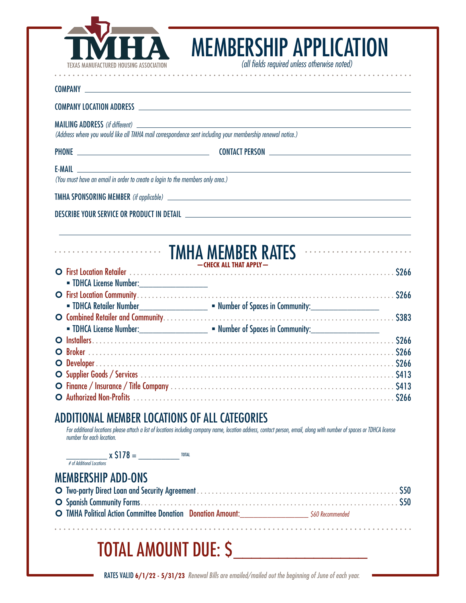

### **COMPANY** COMPANY LOCATION ADDRESS MAILING ADDRESS *(if different) (Address where you would like all TMHA mail correspondence sent including your membership renewal notice.)* PHONE CONTACT PERSON E-MAIL *(You must have an email in order to create a login to the members only area.)* TMHA SPONSORING MEMBER *(if applicable)* DESCRIBE YOUR SERVICE OR PRODUCT IN DETAIL TMHA MEMBER RATES **—CHECK ALL THAT APPLY—** ¢ First Location Retailer . . . . . . . . . . . . . . . . . . . . . . . . . . . . . . . . . . . . . . . . . . . . . . . . . . . . . . . . . . . . . . . . . . . . . . . \$266 TDHCA License Number:\_\_\_\_\_\_\_\_\_\_\_\_\_\_\_ ¢ First Location Community . . . . . . . . . . . . . . . . . . . . . . . . . . . . . . . . . . . . . . . . . . . . . . . . . . . . . . . . . . . . . . . . . . . . . \$266 TDHCA Retailer Number\_\_\_\_\_\_\_\_\_\_\_\_\_\_\_ Number of Spaces in Community:\_\_\_\_\_\_\_\_\_\_\_\_\_\_\_ ¢ Combined Retailer and Community . . . . . . . . . . . . . . . . . . . . . . . . . . . . . . . . . . . . . . . . . . . . . . . . . . . . . . . . . . . . . . \$383 TDHCA License Number:\_\_\_\_\_\_\_\_\_\_\_\_\_\_\_ Number of Spaces in Community:\_\_\_\_\_\_\_\_\_\_\_\_\_\_\_ ¢ Installers . . . . . . . . . . . . . . . . . . . . . . . . . . . . . . . . . . . . . . . . . . . . . . . . . . . . . . . . . . . . . . . . . . . . . . . . . . . . . . . . . \$266 ¢ Broker . . . . . . . . . . . . . . . . . . . . . . . . . . . . . . . . . . . . . . . . . . . . . . . . . . . . . . . . . . . . . . . . . . . . . . . . . . . . . . . . . . \$266 ¢ Developer . . . . . . . . . . . . . . . . . . . . . . . . . . . . . . . . . . . . . . . . . . . . . . . . . . . . . . . . . . . . . . . . . . . . . . . . . . . . . . . . \$266 ¢ Supplier Goods / Services . . . . . . . . . . . . . . . . . . . . . . . . . . . . . . . . . . . . . . . . . . . . . . . . . . . . . . . . . . . . . . . . . . . . \$413 ¢ Finance / Insurance / Title Company . . . . . . . . . . . . . . . . . . . . . . . . . . . . . . . . . . . . . . . . . . . . . . . . . . . . . . . . . . . . \$413 ¢ Authorized Non-Profits . . . . . . . . . . . . . . . . . . . . . . . . . . . . . . . . . . . . . . . . . . . . . . . . . . . . . . . . . . . . . . . . . . . . . . \$266

. . . . . . . . .

*(all fields required unless otherwise noted)*

MEMBERSHIP APPLICATION

### ADDITIONAL MEMBER LOCATIONS OF ALL CATEGORIES

For additional locations please attach a list of locations including company name, location address, contact person, email, along with number of spaces or TDHCA license *number for each location.*

\_\_\_\_\_\_\_\_\_ x \$178 = \_\_\_\_\_\_\_\_\_ TOTAL  *# of Additional Locations*

MEMBERSHIP ADD-ONS

| O TMHA Political Action Committee Donation Donation Amount: 560 Recommended |  |
|-----------------------------------------------------------------------------|--|

## TOTAL AMOUNT DUE: S

RATES VALID **6/1/22 - 5/31/23** *Renewal Bills are emailed/mailed out the beginning of June of each year.*